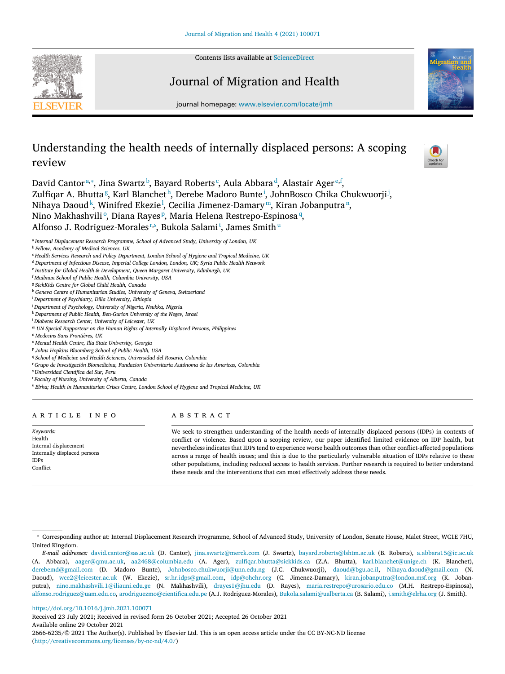

Contents lists available at [ScienceDirect](http://www.ScienceDirect.com)

# Journal of Migration and Health



journal homepage: [www.elsevier.com/locate/jmh](http://www.elsevier.com/locate/jmh)

# Understanding the health needs of internally displaced persons: A scoping review



David Cantor<sup>a,∗</sup>, Jina Swartz <sup>b</sup>, Bayard Roberts <sup>c</sup>, Aula Abbara <sup>d</sup>, Alastair Ager <sup>e, f</sup>, Zulfiqar A. Bhutta<sup>g</sup>, Karl Blanchet<sup>h</sup>, Derebe Madoro Bunte<sup>i</sup>, JohnBosco Chika Chukwuorji<sup>j</sup>, Nihaya Daoud<sup>k</sup>, Winifred Ekezie<sup>1</sup>, Cecilia Jimenez-Damary™, Kiran Jobanputra<u>™,</u> Nino Makhashviliº, Diana Rayesº, Maria Helena Restrepo-Espinosa $\frac{q}{2}$ Alfonso J. Rodriguez-Morales<del>r,s, Bukola Salami<sup>t</sup>, James Smith"</del>

<sup>a</sup> *Internal Displacement Research Programme, School of Advanced Study, University of London, UK*

<sup>d</sup> *Department of Infectious Disease, Imperial College London, London, UK; Syria Public Health Network*

- <sup>g</sup> *SickKids Centre for Global Child Health, Canada*
- <sup>h</sup> *Geneva Centre of Humanitarian Studies, University of Geneva, Switzerland*
- <sup>i</sup> *Department of Psychiatry, Dilla University, Ethiopia*
- <sup>j</sup> *Department of Psychology, University of Nigeria, Nsukka, Nigeria*
- <sup>k</sup> *Department of Public Health, Ben-Gurion University of the Negev, Israel*
- <sup>l</sup> *Diabetes Research Center, University of Leicester, UK*
- <sup>m</sup> *UN Special Rapporteur on the Human Rights of Internally Displaced Persons, Philippines*
- <sup>n</sup> *Medecins Sans Frontières, UK*
- <sup>o</sup> *Mental Health Centre, Ilia State University, Georgia*
- <sup>p</sup> *Johns Hopkins Bloomberg School of Public Health, USA*
- <sup>q</sup> *School of Medicine and Health Sciences, Universidad del Rosario, Colombia*
- <sup>r</sup> *Grupo de Investigación Biomedicina, Fundacion Universitaria Autónoma de las Americas, Colombia*
- <sup>s</sup> *Universidad Cientifica del Sur, Peru*
- <sup>t</sup> *Faculty of Nursing, University of Alberta, Canada*

<sup>u</sup> *Elrha; Health in Humanitarian Crises Centre, London School of Hygiene and Tropical Medicine, UK*

# a r t i c l e i n f o

*Keywords:* Health Internal displacement Internally displaced persons IDPs Conflict

# A B S T R A C T

We seek to strengthen understanding of the health needs of internally displaced persons (IDPs) in contexts of conflict or violence. Based upon a scoping review, our paper identified limited evidence on IDP health, but nevertheless indicatesthat IDPs tend to experience worse health outcomes than other conflict-affected populations across a range of health issues; and this is due to the particularly vulnerable situation of IDPs relative to these other populations, including reduced access to health services. Further research is required to better understand these needs and the interventions that can most effectively address these needs.

<https://doi.org/10.1016/j.jmh.2021.100071>

Received 23 July 2021; Received in revised form 26 October 2021; Accepted 26 October 2021 Available online 29 October 2021 2666-6235/© 2021 The Author(s). Published by Elsevier Ltd. This is an open access article under the CC BY-NC-ND license [\(http://creativecommons.org/licenses/by-nc-nd/4.0/\)](http://creativecommons.org/licenses/by-nc-nd/4.0/)

<sup>b</sup> *Fellow, Academy of Medical Sciences, UK*

<sup>c</sup> *Health Services Research and Policy Department, London School of Hygiene and Tropical Medicine, UK*

<sup>e</sup> *Institute for Global Health & Development, Queen Margaret University, Edinburgh, UK*

<sup>f</sup> *Mailman School of Public Health, Columbia University, USA*

<sup>∗</sup> Corresponding author at: Internal Displacement Research Programme, School of Advanced Study, University of London, Senate House, Malet Street, WC1E 7HU, United Kingdom.

*E-mail addresses:* [david.cantor@sas.ac.uk](mailto:david.cantor@sas.ac.uk) (D. Cantor), [jina.swartz@merck.com](mailto:jina.swartz@merck.com) (J. Swartz), [bayard.roberts@lshtm.ac.uk](mailto:bayard.roberts@lshtm.ac.uk) (B. Roberts), [a.abbara15@ic.ac.uk](mailto:a.abbara15@ic.ac.uk) (A. Abbara), [aager@qmu.ac.uk,](mailto:aager@qmu.ac.uk) [aa2468@columbia.edu](mailto:aa2468@columbia.edu) (A. Ager), [zulfiqar.bhutta@sickkids.ca](mailto:zulfiqar.bhutta@sickkids.ca) (Z.A. Bhutta), [karl.blanchet@unige.ch](mailto:karl.blanchet@unige.ch) (K. Blanchet), [derebemd@gmail.com](mailto:derebemd@gmail.com) (D. Madoro Bunte), [Johnbosco.chukwuorji@unn.edu.ng](mailto:Johnbosco.chukwuorji@unn.edu.ng) (J.C. Chukwuorji), [daoud@bgu.ac.il,](mailto:daoud@bgu.ac.il) [Nihaya.daoud@gmail.com](mailto:Nihaya.daoud@gmail.com) (N. Daoud), [wce2@leicester.ac.uk](mailto:wce2@leicester.ac.uk) (W. Ekezie), [sr.hr.idps@gmail.com,](mailto:sr.hr.idps@gmail.com) [idp@ohchr.org](mailto:idp@ohchr.org) (C. Jimenez-Damary), [kiran.jobanputra@london.msf.org](mailto:kiran.jobanputra@london.msf.org) (K. Jobanputra), [nino.makhashvili.1@iliauni.edu.ge](mailto:nino.makhashvili.1@iliauni.edu.ge) (N. Makhashvili), [drayes1@jhu.edu](mailto:drayes1@jhu.edu) (D. Rayes), [maria.restrepo@urosario.edu.co](mailto:maria.restrepo@urosario.edu.co) (M.H. Restrepo-Espinosa), [alfonso.rodriguez@uam.edu.co,](mailto:alfonso.rodriguez@uam.edu.co) [arodriguezmo@cientifica.edu.pe](mailto:arodriguezmo@cientifica.edu.pe) (A.J. Rodriguez-Morales), [Bukola.salami@ualberta.ca](mailto:Bukola.salami@ualberta.ca) (B. Salami), [j.smith@elrha.org](mailto:j.smith@elrha.org) (J. Smith).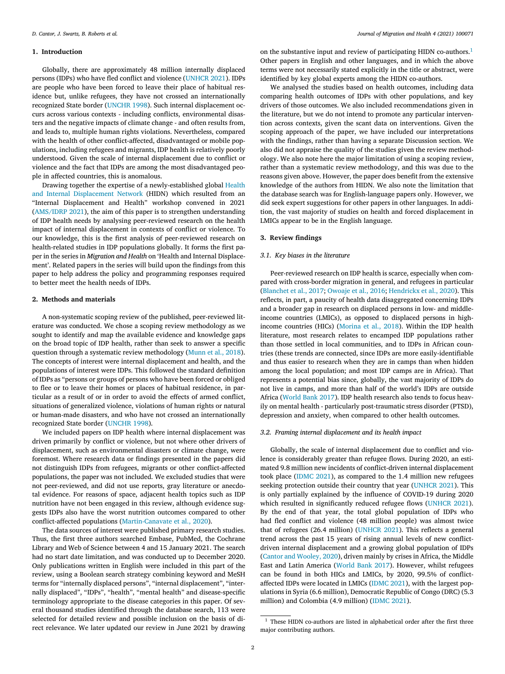# **1. Introduction**

Globally, there are approximately 48 million internally displaced persons (IDPs) who have fled conflict and violence [\(UNHCR](#page-7-0) 2021). IDPs are people who have been forced to leave their place of habitual residence but, unlike refugees, they have not crossed an internationally recognized State border [\(UNCHR](#page-7-0) 1998). Such internal displacement occurs across various contexts - including conflicts, environmental disasters and the negative impacts of climate change - and often results from, and leads to, multiple human rights violations. Nevertheless, compared with the health of other conflict-affected, disadvantaged or mobile populations, including refugees and migrants, IDP health is relatively poorly understood. Given the scale of internal displacement due to conflict or violence and the fact that IDPs are among the most disadvantaged people in affected countries, this is anomalous.

Drawing together the expertise of a [newly-established](https://www.researchinginternaldisplacement.org/about/hidn-health-and-internal-displacement-network/) global Health and Internal Displacement Network (HIDN) which resulted from an "Internal Displacement and Health" workshop convened in 2021 [\(AMS/IDRP](#page-5-0) 2021), the aim of this paper is to strengthen understanding of IDP health needs by analysing peer-reviewed research on the health impact of internal displacement in contexts of conflict or violence. To our knowledge, this is the first analysis of peer-reviewed research on health-related studies in IDP populations globally. It forms the first paper in the series in *Migration and Health* on 'Health and Internal Displacement'. Related papers in the series will build upon the findings from this paper to help address the policy and programming responses required to better meet the health needs of IDPs.

## **2. Methods and materials**

A non-systematic scoping review of the published, peer-reviewed literature was conducted. We chose a scoping review methodology as we sought to identify and map the available evidence and knowledge gaps on the broad topic of IDP health, rather than seek to answer a specific question through a systematic review methodology [\(Munn](#page-7-0) et al., 2018). The concepts of interest were internal displacement and health, and the populations of interest were IDPs. This followed the standard definition of IDPs as "persons or groups of persons who have been forced or obliged to flee or to leave their homes or places of habitual residence, in particular as a result of or in order to avoid the effects of armed conflict, situations of generalized violence, violations of human rights or natural or human-made disasters, and who have not crossed an internationally recognized State border [\(UNCHR](#page-7-0) 1998).

We included papers on IDP health where internal displacement was driven primarily by conflict or violence, but not where other drivers of displacement, such as environmental disasters or climate change, were foremost. Where research data or findings presented in the papers did not distinguish IDPs from refugees, migrants or other conflict-affected populations, the paper was not included. We excluded studies that were not peer-reviewed, and did not use reports, gray literature or anecdotal evidence. For reasons of space, adjacent health topics such as IDP nutrition have not been engaged in this review, although evidence suggests IDPs also have the worst nutrition outcomes compared to other conflict-affected populations [\(Martin-Canavate](#page-6-0) et al., 2020).

The data sources of interest were published primary research studies. Thus, the first three authors searched Embase, PubMed, the Cochrane Library and Web of Science between 4 and 15 January 2021. The search had no start date limitation, and was conducted up to December 2020. Only publications written in English were included in this part of the review, using a Boolean search strategy combining keyword and MeSH terms for "internally displaced persons", "internal displacement", "internally displaced", "IDPs", "health", "mental health" and disease-specific terminology appropriate to the disease categories in this paper. Of several thousand studies identified through the database search, 113 were selected for detailed review and possible inclusion on the basis of direct relevance. We later updated our review in June 2021 by drawing on the substantive input and review of participating HIDN co-authors.<sup>1</sup> Other papers in English and other languages, and in which the above terms were not necessarily stated explicitly in the title or abstract, were identified by key global experts among the HIDN co-authors.

We analysed the studies based on health outcomes, including data comparing health outcomes of IDPs with other populations, and key drivers of those outcomes. We also included recommendations given in the literature, but we do not intend to promote any particular intervention across contexts, given the scant data on interventions. Given the scoping approach of the paper, we have included our interpretations with the findings, rather than having a separate Discussion section. We also did not appraise the quality of the studies given the review methodology. We also note here the major limitation of using a scoping review, rather than a systematic review methodology, and this was due to the reasons given above. However, the paper does benefit from the extensive knowledge of the authors from HIDN. We also note the limitation that the database search was for English-language papers only. However, we did seek expert suggestions for other papers in other languages. In addition, the vast majority of studies on health and forced displacement in LMICs appear to be in the English language.

## **3. Review findings**

## *3.1. Key biases in the literature*

Peer-reviewed research on IDP health is scarce, especially when compared with cross-border migration in general, and refugees in particular [\(Blanchet](#page-6-0) et al., 2017; [Owoaje](#page-7-0) et al., 2016; [Hendrickx](#page-6-0) et al., 2020). This reflects, in part, a paucity of health data disaggregated concerning IDPs and a broader gap in research on displaced persons in low- and middleincome countries (LMICs), as opposed to displaced persons in highincome countries (HICs) [\(Morina](#page-7-0) et al., 2018). Within the IDP health literature, most research relates to encamped IDP populations rather than those settled in local communities, and to IDPs in African countries (these trends are connected, since IDPs are more easily-identifiable and thus easier to research when they are in camps than when hidden among the local population; and most IDP camps are in Africa). That represents a potential bias since, globally, the vast majority of IDPs do not live in camps, and more than half of the world's IDPs are outside Africa [\(World](#page-7-0) Bank 2017). IDP health research also tends to focus heavily on mental health - particularly post-traumatic stress disorder (PTSD), depression and anxiety, when compared to other health outcomes.

#### *3.2. Framing internal displacement and its health impact*

Globally, the scale of internal displacement due to conflict and violence is considerably greater than refugee flows. During 2020, an estimated 9.8 million new incidents of conflict-driven internal displacement took place [\(IDMC](#page-6-0) 2021), as compared to the 1.4 million new refugees seeking protection outside their country that year [\(UNHCR](#page-7-0) 2021). This is only partially explained by the influence of COVID-19 during 2020 which resulted in significantly reduced refugee flows [\(UNHCR](#page-7-0) 2021). By the end of that year, the total global population of IDPs who had fled conflict and violence (48 million people) was almost twice that of refugees (26.4 million) [\(UNHCR](#page-7-0) 2021). This reflects a general trend across the past 15 years of rising annual levels of new conflictdriven internal displacement and a growing global population of IDPs (Cantor and [Wooley,](#page-6-0) 2020), driven mainly by crises in Africa, the Middle East and Latin America [\(World](#page-7-0) Bank 2017). However, whilst refugees can be found in both HICs and LMICs, by 2020, 99.5% of conflictaffected IDPs were located in LMICs [\(IDMC](#page-6-0) 2021), with the largest populations in Syria (6.6 million), Democratic Republic of Congo (DRC) (5.3 million) and Colombia (4.9 million) [\(IDMC](#page-6-0) 2021).

<sup>&</sup>lt;sup>1</sup> These HIDN co-authors are listed in alphabetical order after the first three major contributing authors.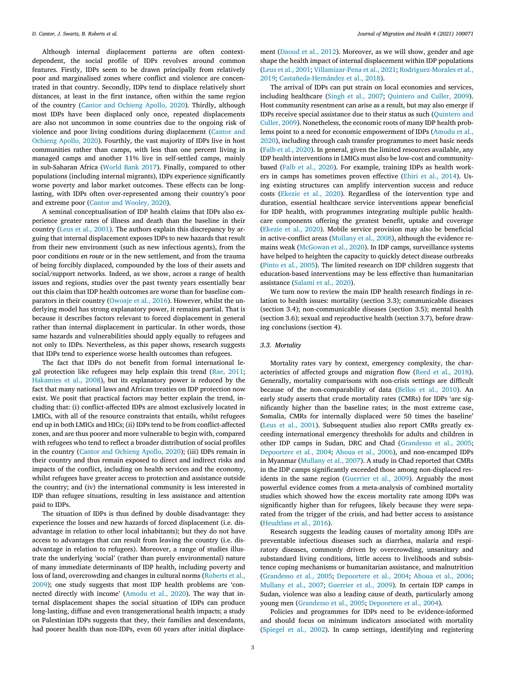Although internal displacement patterns are often contextdependent, the social profile of IDPs revolves around common features. Firstly, IDPs seem to be drawn principally from relatively poor and marginalised zones where conflict and violence are concentrated in that country. Secondly, IDPs tend to displace relatively short distances, at least in the first instance, often within the same region of the country (Cantor and [Ochieng](#page-6-0) Apollo, 2020). Thirdly, although most IDPs have been displaced only once, repeated displacements are also not uncommon in some countries due to the ongoing risk of violence and poor living conditions during [displacement](#page-6-0) (Cantor and Ochieng Apollo, 2020). Fourthly, the vast majority of IDPs live in host communities rather than camps, with less than one percent living in managed camps and another 11% live in self-settled camps, mainly in sub-Saharan Africa [\(World](#page-7-0) Bank 2017). Finally, compared to other populations (including internal migrants), IDPs experience significantly worse poverty and labor market outcomes. These effects can be longlasting, with IDPs often over-represented among their country's poor and extreme poor (Cantor and [Wooley,](#page-6-0) 2020).

A seminal conceptualisation of IDP health claims that IDPs also experience greater rates of illness and death than the baseline in their country (Leus et al., [2001\)](#page-6-0). The authors explain this discrepancy by arguing that internal displacement exposes IDPs to new hazards that result from their new environment (such as new infectious agents), from the poor conditions *en route* or in the new settlement, and from the trauma of being forcibly displaced, compounded by the loss of their assets and social/support networks. Indeed, as we show, across a range of health issues and regions, studies over the past twenty years essentially bear out this claim that IDP health outcomes are worse than for baseline comparators in their country [\(Owoaje](#page-7-0) et al., 2016). However, whilst the underlying model has strong explanatory power, it remains partial. That is because it describes factors relevant to forced displacement in general rather than internal displacement in particular. In other words, those same hazards and vulnerabilities should apply equally to refugees and not only to IDPs. Nevertheless, as this paper shows, research suggests that IDPs tend to experience worse health outcomes than refugees.

The fact that IDPs do not benefit from formal international legal protection like refugees may help explain this trend (Rae, [2011;](#page-7-0) [Hakamies](#page-6-0) et al., 2008), but its explanatory power is reduced by the fact that many national laws and African treaties on IDP protection now exist. We posit that practical factors may better explain the trend, including that: (i) conflict-affected IDPs are almost exclusively located in LMICs, with all of the resource constraints that entails, whilst refugees end up in both LMICs and HICs; (ii) IDPs tend to be from conflict-affected zones, and are thus poorer and more vulnerable to begin with, compared with refugees who tend to reflect a broader distribution of social profiles in the country (Cantor and [Ochieng](#page-6-0) Apollo, 2020); (iii) IDPs remain in their country and thus remain exposed to direct and indirect risks and impacts of the conflict, including on health services and the economy, whilst refugees have greater access to protection and assistance outside the country; and (iv) the international community is less interested in IDP than refugee situations, resulting in less assistance and attention paid to IDPs.

The situation of IDPs is thus defined by double disadvantage: they experience the losses and new hazards of forced displacement (i.e. disadvantage in relation to other local inhabitants); but they do not have access to advantages that can result from leaving the country (i.e. disadvantage in relation to refugees). Moreover, a range of studies illustrate the underlying 'social' (rather than purely environmental) nature of many immediate determinants of IDP health, including poverty and loss of land, [overcrowding](#page-7-0) and changes in cultural norms (Roberts et al., 2009); one study suggests that most IDP health problems are 'connected directly with income' [\(Amodu](#page-5-0) et al., 2020). The way that internal displacement shapes the social situation of IDPs can produce long-lasting, diffuse and even transgenerational health impacts; a study on Palestinian IDPs suggests that they, their families and descendants, had poorer health than non-IDPs, even 60 years after initial displacement [\(Daoud](#page-6-0) et al., 2012). Moreover, as we will show, gender and age shape the health impact of internal displacement within IDP populations (Leus et al., [2001;](#page-6-0) [Villamizar-Pena](#page-7-0) et al., 2021; Rodriguez-Morales et al., 2019; [Castañeda-Hernández](#page-7-0) et al., 2018).

The arrival of IDPs can put strain on local economies and services, including healthcare [\(Singh](#page-7-0) et al., 2007; [Quintero](#page-7-0) and Culler, 2009). Host community resentment can arise as a result, but may also emerge if IDPs receive special assistance due to their status as such (Quintero and Culler, 2009). [Nonetheless,](#page-7-0) the economic roots of many IDP health problems point to a need for economic [empowerment](#page-5-0) of IDPs (Amodu et al., 2020), including through cash transfer programmes to meet basic needs (Falb et al., [2020\)](#page-6-0). In general, given the limited resources available, any IDP health interventions in LMICs must also be low-cost and communitybased (Falb et al., [2020\)](#page-6-0). For example, training IDPs as health workers in camps has sometimes proven effective (Ehiri et al., [2014\)](#page-6-0). Using existing structures can amplify intervention success and reduce costs [\(Ekezie](#page-6-0) et al., 2020). Regardless of the intervention type and duration, essential healthcare service interventions appear beneficial for IDP health, with programmes integrating multiple public healthcare components offering the greatest benefit, uptake and coverage [\(Ekezie](#page-6-0) et al., 2020). Mobile service provision may also be beneficial in active-conflict areas [\(Mullany](#page-7-0) et al., 2008), although the evidence remains weak [\(McGowan](#page-6-0) et al., 2020). In IDP camps, surveillance systems have helped to heighten the capacity to quickly detect disease outbreaks [\(Pinto](#page-7-0) et al., 2005). The limited research on IDP children suggests that education-based interventions may be less effective than humanitarian assistance [\(Salami](#page-7-0) et al., 2020).

We turn now to review the main IDP health research findings in relation to health issues: mortality (section 3.3); communicable diseases (section 3.4); non-communicable diseases (section 3.5); mental health (section 3.6); sexual and reproductive health (section 3.7), before drawing conclusions (section 4).

## *3.3. Mortality*

Mortality rates vary by context, emergency complexity, the characteristics of affected groups and migration flow (Reed et al., [2018\)](#page-7-0). Generally, mortality comparisons with non-crisis settings are difficult because of the non-comparability of data [\(Bellos](#page-6-0) et al., 2010). An early study asserts that crude mortality rates (CMRs) for IDPs 'are significantly higher than the baseline rates; in the most extreme case, Somalia, CMRs for internally displaced were 50 times the baseline' (Leus et al., [2001\)](#page-6-0). Subsequent studies also report CMRs greatly exceeding international emergency thresholds for adults and children in other IDP camps in Sudan, DRC and Chad [\(Grandesso](#page-6-0) et al., 2005; [Depoortere](#page-6-0) et al., 2004; [Ahoua](#page-5-0) et al., 2006), and non-encamped IDPs in Myanmar [\(Mullany](#page-7-0) et al., 2007). A study in Chad reported that CMRs in the IDP camps significantly exceeded those among non-displaced residents in the same region [\(Guerrier](#page-6-0) et al., 2009). Arguably the most powerful evidence comes from a meta-analysis of combined mortality studies which showed how the excess mortality rate among IDPs was significantly higher than for refugees, likely because they were separated from the trigger of the crisis, and had better access to assistance [\(Heudtlass](#page-6-0) et al., 2016).

Research suggests the leading causes of mortality among IDPs are preventable infectious diseases such as diarrhea, malaria and respiratory diseases, commonly driven by overcrowding, unsanitary and substandard living conditions, little access to livelihoods and subsistence coping mechanisms or humanitarian assistance, and malnutrition [\(Grandesso](#page-6-0) et al., 2005; [Depoortere](#page-6-0) et al., 2004; [Ahoua](#page-5-0) et al., 2006; [Mullany](#page-7-0) et al., 2007; [Guerrier](#page-6-0) et al., 2009). In certain IDP camps in Sudan, violence was also a leading cause of death, particularly among young men [\(Grandesso](#page-6-0) et al., 2005; [Depoortere](#page-6-0) et al., 2004).

Policies and programmes for IDPs need to be evidence-informed and should focus on minimum indicators associated with mortality [\(Spiegel](#page-7-0) et al., 2002). In camp settings, identifying and registering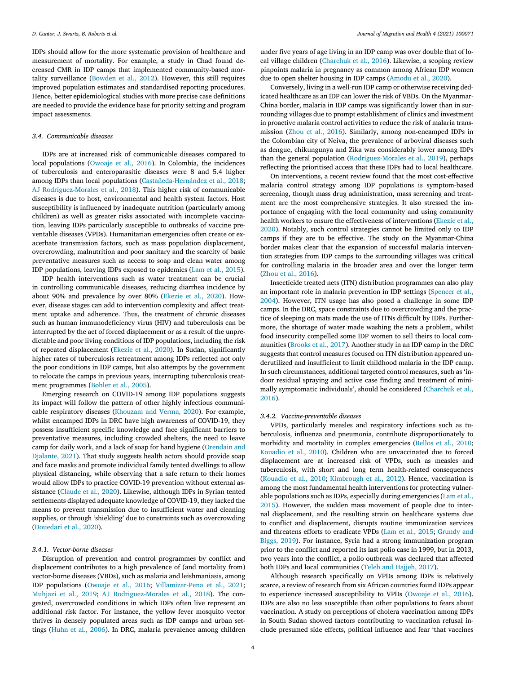IDPs should allow for the more systematic provision of healthcare and measurement of mortality. For example, a study in Chad found decreased CMR in IDP camps that implemented community-based mortality surveillance [\(Bowden](#page-6-0) et al., 2012). However, this still requires improved population estimates and standardised reporting procedures. Hence, better epidemiological studies with more precise case definitions are needed to provide the evidence base for priority setting and program impact assessments.

#### *3.4. Communicable diseases*

IDPs are at increased risk of communicable diseases compared to local populations [\(Owoaje](#page-7-0) et al., 2016). In Colombia, the incidences of tuberculosis and enteroparasitic diseases were 8 and 5.4 higher among IDPs than local populations [\(Castañeda-Hernández](#page-6-0) et al., 2018; AJ [Rodriguez-Morales](#page-7-0) et al., 2018). This higher risk of communicable diseases is due to host, environmental and health system factors. Host susceptibility is influenced by inadequate nutrition (particularly among children) as well as greater risks associated with incomplete vaccination, leaving IDPs particularly susceptible to outbreaks of vaccine preventable diseases (VPDs). Humanitarian emergencies often create or exacerbate transmission factors, such as mass population displacement, overcrowding, malnutrition and poor sanitary and the scarcity of basic preventative measures such as access to soap and clean water among IDP populations, leaving IDPs exposed to epidemics (Lam et al., [2015\)](#page-6-0).

IDP health interventions such as water treatment can be crucial in controlling communicable diseases, reducing diarrhea incidence by about 90% and prevalence by over 80% [\(Ekezie](#page-6-0) et al., 2020). However, disease stages can add to intervention complexity and affect treatment uptake and adherence. Thus, the treatment of chronic diseases such as human immunodeficiency virus (HIV) and tuberculosis can be interrupted by the act of forced displacement or as a result of the unpredictable and poor living conditions of IDP populations, including the risk of repeated displacement [\(Ekezie](#page-6-0) et al., 2020). In Sudan, significantly higher rates of tuberculosis retreatment among IDPs reflected not only the poor conditions in IDP camps, but also attempts by the government to relocate the camps in previous years, interrupting tuberculosis treatment programmes [\(Bøhler](#page-6-0) et al., 2005).

Emerging research on COVID-19 among IDP populations suggests its impact will follow the pattern of other highly infectious communicable respiratory diseases [\(Khouzam](#page-6-0) and Verma, 2020). For example, whilst encamped IDPs in DRC have high awareness of COVID-19, they possess insufficient specific knowledge and face significant barriers to preventative measures, including crowded shelters, the need to leave camp for daily work, and a lack of soap for hand hygiene [\(Orendain](#page-7-0) and Djalante, 2021). That study suggests health actors should provide soap and face masks and promote individual family tented dwellings to allow physical distancing, while observing that a safe return to their homes would allow IDPs to practice COVID-19 prevention without external assistance [\(Claude](#page-6-0) et al., 2020). Likewise, although IDPs in Syrian tented settlements displayed adequate knowledge of COVID-19, they lacked the means to prevent transmission due to insufficient water and cleaning supplies, or through 'shielding' due to constraints such as overcrowding [\(Douedari](#page-6-0) et al., 2020).

## *3.4.1. Vector-borne diseases*

Disruption of prevention and control programmes by conflict and displacement contributes to a high prevalence of (and mortality from) vector-borne diseases (VBDs), such as malaria and leishmaniasis, among IDP populations [\(Owoaje](#page-7-0) et al., 2016; [Villamizar-Pena](#page-7-0) et al., 2021; [Muhjazi](#page-7-0) et al., 2019; AJ [Rodriguez-Morales](#page-7-0) et al., 2018). The congested, overcrowded conditions in which IDPs often live represent an additional risk factor. For instance, the yellow fever mosquito vector thrives in densely populated areas such as IDP camps and urban settings [\(Huhn](#page-6-0) et al., 2006). In DRC, malaria prevalence among children under five years of age living in an IDP camp was over double that of local village children [\(Charchuk](#page-6-0) et al., 2016). Likewise, a scoping review pinpoints malaria in pregnancy as common among African IDP women due to open shelter housing in IDP camps [\(Amodu](#page-5-0) et al., 2020).

Conversely, living in a well-run IDP camp or otherwise receiving dedicated healthcare as an IDP can lower the risk of VBDs. On the Myanmar-China border, malaria in IDP camps was significantly lower than in surrounding villages due to prompt establishment of clinics and investment in proactive malaria control activities to reduce the risk of malaria transmission (Zhou et al., [2016\)](#page-7-0). Similarly, among non-encamped IDPs in the Colombian city of Neiva, the prevalence of arboviral diseases such as dengue, chikungunya and Zika was considerably lower among IDPs than the general population [\(Rodriguez-Morales](#page-7-0) et al., 2019), perhaps reflecting the prioritised access that these IDPs had to local healthcare.

On interventions, a recent review found that the most cost-effective malaria control strategy among IDP populations is symptom-based screening, though mass drug administration, mass screening and treatment are the most comprehensive strategies. It also stressed the importance of engaging with the local community and using community health workers to ensure the effectiveness of [interventions](#page-6-0) (Ekezie et al., 2020). Notably, such control strategies cannot be limited only to IDP camps if they are to be effective. The study on the Myanmar-China border makes clear that the expansion of successful malaria intervention strategies from IDP camps to the surrounding villages was critical for controlling malaria in the broader area and over the longer term (Zhou et al., [2016\)](#page-7-0).

Insecticide treated nets (ITN) distribution programmes can also play an important role in malaria [prevention](#page-7-0) in IDP settings (Spencer et al., 2004). However, ITN usage has also posed a challenge in some IDP camps. In the DRC, space constraints due to overcrowding and the practice of sleeping on mats made the use of ITNs difficult by IDPs. Furthermore, the shortage of water made washing the nets a problem, whilst food insecurity compelled some IDP women to sell theirs to local communities [\(Brooks](#page-6-0) et al., 2017). Another study in an IDP camp in the DRC suggests that control measures focused on ITN distribution appeared underutilized and insufficient to limit childhood malaria in the IDP camp. In such circumstances, additional targeted control measures, such as 'indoor residual spraying and active case finding and treatment of minimally [symptomatic](#page-6-0) individuals', should be considered (Charchuk et al., 2016).

#### *3.4.2. Vaccine-preventable diseases*

VPDs, particularly measles and respiratory infections such as tuberculosis, influenza and pneumonia, contribute disproportionately to morbidity and mortality in complex emergencies [\(Bellos](#page-6-0) et al., 2010; [Kouadio](#page-6-0) et al., 2010). Children who are unvaccinated due to forced displacement are at increased risk of VPDs, such as measles and tuberculosis, with short and long term health-related consequences [\(Kouadio](#page-6-0) et al., 2010; [Kimbrough](#page-6-0) et al., 2012). Hence, vaccination is among the most fundamental health interventions for protecting vulnerable populations such as IDPs, especially during [emergencies](#page-6-0) (Lam et al., 2015). However, the sudden mass movement of people due to internal displacement, and the resulting strain on healthcare systems due to conflict and displacement, disrupts routine immunization services and threatens efforts to eradicate VPDs (Lam et al., [2015;](#page-6-0) Grundy and Biggs, 2019). For instance, Syria had a strong [immunization](#page-6-0) program prior to the conflict and reported its last polio case in 1999, but in 2013, two years into the conflict, a polio outbreak was declared that affected both IDPs and local communities (Teleb and [Hajjeh,](#page-7-0) 2017).

Although research specifically on VPDs among IDPs is relatively scarce, a review of research from six African countries found IDPs appear to experience increased susceptibility to VPDs [\(Owoaje](#page-7-0) et al., 2016). IDPs are also no less susceptible than other populations to fears about vaccination. A study on perceptions of cholera vaccination among IDPs in South Sudan showed factors contributing to vaccination refusal include presumed side effects, political influence and fear 'that vaccines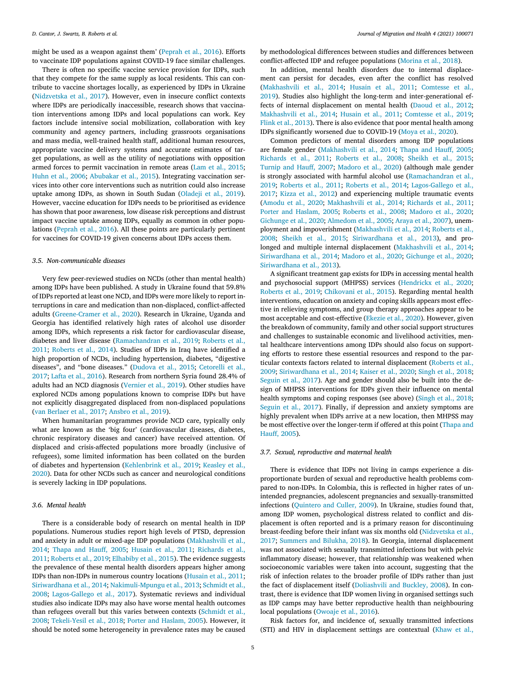might be used as a weapon against them' [\(Peprah](#page-7-0) et al., 2016). Efforts to vaccinate IDP populations against COVID-19 face similar challenges.

There is often no specific vaccine service provision for IDPs, such that they compete for the same supply as local residents. This can contribute to vaccine shortages locally, as experienced by IDPs in Ukraine [\(Nidzvetska](#page-7-0) et al., 2017). However, even in insecure conflict contexts where IDPs are periodically inaccessible, research shows that vaccination interventions among IDPs and local populations can work. Key factors include intensive social mobilization, collaboration with key community and agency partners, including grassroots organisations and mass media, well-trained health staff, additional human resources, appropriate vaccine delivery systems and accurate estimates of target populations, as well as the utility of negotiations with opposition armed forces to permit vaccination in remote areas (Lam et al., [2015;](#page-6-0) [Huhn](#page-6-0) et al., 2006; [Abubakar](#page-5-0) et al., 2015). Integrating vaccination services into other core interventions such as nutrition could also increase uptake among IDPs, as shown in South Sudan [\(Oladeji](#page-7-0) et al., 2019). However, vaccine education for IDPs needs to be prioritised as evidence has shown that poor awareness, low disease risk perceptions and distrust impact vaccine uptake among IDPs, equally as common in other populations [\(Peprah](#page-7-0) et al., 2016). All these points are particularly pertinent for vaccines for COVID-19 given concerns about IDPs access them.

#### *3.5. Non-communicable diseases*

Very few peer-reviewed studies on NCDs (other than mental health) among IDPs have been published. A study in Ukraine found that 59.8% of IDPs reported at least one NCD, and IDPs were more likely to report interruptions in care and medication than non-displaced, conflict-affected adults [\(Greene-Cramer](#page-6-0) et al., 2020). Research in Ukraine, Uganda and Georgia has identified relatively high rates of alcohol use disorder among IDPs, which represents a risk factor for cardiovascular disease, diabetes and liver disease [\(Ramachandran](#page-7-0) et al., 2019; Roberts et al., 2011; [Roberts](#page-7-0) et al., 2014). Studies of IDPs in Iraq have identified a high proportion of NCDs, including hypertension, diabetes, "digestive diseases", and "bone [diseases." \(Dudova](#page-6-0) et al., 2015; Cetorelli et al., 2017; Lafta et al., [2016\)](#page-6-0). Research from northern Syria found 28.4% of adults had an NCD diagnosis [\(Vernier](#page-7-0) et al., 2019). Other studies have explored NCDs among populations known to comprise IDPs but have not explicitly disaggregated displaced from non-displaced populations (van [Berlaer](#page-7-0) et al., 2017; [Ansbro](#page-5-0) et al., 2019).

When humanitarian programmes provide NCD care, typically only what are known as the 'big four' (cardiovascular diseases, diabetes, chronic respiratory diseases and cancer) have received attention. Of displaced and crisis-affected populations more broadly (inclusive of refugees), some limited information has been collated on the burden of diabetes and hypertension [\(Kehlenbrink](#page-6-0) et al., 2019; Keasley et al., 2020). Data for other NCDs such as cancer and neurological conditions is severely lacking in IDP populations.

# *3.6. Mental health*

There is a considerable body of research on mental health in IDP populations. Numerous studies report high levels of PTSD, depression and anxiety in adult or mixed-age IDP populations [\(Makhashvili](#page-6-0) et al., 2014; Thapa and [Hauff,](#page-7-0) 2005; [Husain](#page-6-0) et al., 2011; Richards et al., 2011; [Roberts](#page-7-0) et al., 2019; [Elhabiby](#page-7-0) et al., 2015). The evidence suggests the prevalence of these mental health disorders appears higher among IDPs than non-IDPs in numerous country locations [\(Husain](#page-6-0) et al., 2011; [Siriwardhana](#page-7-0) et al., 2014; [Nakimuli-Mpungu](#page-7-0) et al., 2013; Schmidt et al., 2008; [Lagos-Gallego](#page-6-0) et al., 2017). Systematic reviews and individual studies also indicate IDPs may also have worse mental health outcomes than refugees overall but this varies between contexts (Schmidt et al., 2008; [Tekeli-Yesil](#page-7-0) et al., 2018; Porter and [Haslam,](#page-7-0) 2005). However, it should be noted some heterogeneity in prevalence rates may be caused

by methodological differences between studies and differences between conflict-affected IDP and refugee populations [\(Morina](#page-7-0) et al., 2018).

In addition, mental health disorders due to internal displacement can persist for decades, even after the conflict has resolved [\(Makhashvili](#page-6-0) et al., 2014; [Husain](#page-6-0) et al., 2011; Comtesse et al., 2019). Studies also highlight the long-term and [inter-generational](#page-6-0) effects of internal displacement on mental health [\(Daoud](#page-6-0) et al., 2012; [Makhashvili](#page-6-0) et al., 2014; [Husain](#page-6-0) et al., 2011; [Comtesse](#page-6-0) et al., 2019; Flink et al., [2013\)](#page-6-0). There is also evidence that poor mental health among IDPs significantly worsened due to COVID-19 [\(Moya](#page-7-0) et al., 2020).

Common predictors of mental disorders among IDP populations are female gender [\(Makhashvili](#page-6-0) et al., 2014; Thapa and [Hauff,](#page-7-0) 2005; [Richards](#page-7-0) et al., 2011; [Roberts](#page-7-0) et al., 2008; [Sheikh](#page-7-0) et al., 2015; [Turnip](#page-7-0) and Hauff, 2007; [Madoro](#page-6-0) et al., 2020) (although male gender is strongly associated with harmful alcohol use [\(Ramachandran](#page-7-0) et al., 2019; [Roberts](#page-7-0) et al., 2011; [Roberts](#page-7-0) et al., 2014; [Lagos-Gallego](#page-6-0) et al., 2017; Kizza et al., [2012\)](#page-6-0) and experiencing multiple traumatic events [\(Amodu](#page-5-0) et al., 2020; [Makhashvili](#page-6-0) et al., 2014; [Richards](#page-7-0) et al., 2011; Porter and [Haslam,](#page-7-0) 2005; [Roberts](#page-7-0) et al., 2008; [Madoro](#page-6-0) et al., 2020; [Gichunge](#page-6-0) et al., 2020; [Almedom](#page-5-0) et al., 2005; [Araya](#page-6-0) et al., 2007), unemployment and [impoverishment](#page-7-0) [\(Makhashvili](#page-6-0) et al., 2014; Roberts et al., 2008; [Sheikh](#page-7-0) et al., 2015; [Siriwardhana](#page-7-0) et al., 2013), and prolonged and multiple internal displacement [\(Makhashvili](#page-6-0) et al., 2014; [Siriwardhana](#page-7-0) et al., 2014; [Madoro](#page-6-0) et al., 2020; [Gichunge](#page-6-0) et al., 2020; [Siriwardhana](#page-7-0) et al., 2013).

A significant treatment gap exists for IDPs in accessing mental health and psychosocial support (MHPSS) services [\(Hendrickx](#page-6-0) et al., 2020; [Roberts](#page-7-0) et al., 2019; [Chikovani](#page-6-0) et al., 2015). Regarding mental health interventions, education on anxiety and coping skills appears most effective in relieving symptoms, and group therapy approaches appear to be most acceptable and cost-effective [\(Ekezie](#page-6-0) et al., 2020). However, given the breakdown of community, family and other social support structures and challenges to sustainable economic and livelihood activities, mental healthcare interventions among IDPs should also focus on supporting efforts to restore these essential resources and respond to the particular contexts factors related to internal displacement (Roberts et al., 2009; [Siriwardhana](#page-7-0) et al., 2014; [Kaiser](#page-6-0) et al., 2020; [Singh](#page-7-0) et al., 2018; [Seguin](#page-7-0) et al., 2017). Age and gender should also be built into the design of MHPSS interventions for IDPs given their influence on mental health symptoms and coping responses (see above) [\(Singh](#page-7-0) et al., 2018; [Seguin](#page-7-0) et al., 2017). Finally, if depression and anxiety symptoms are highly prevalent when IDPs arrive at a new location, then MHPSS may be most effective over the [longer-term](#page-7-0) if offered at this point (Thapa and Hauff, 2005).

#### *3.7. Sexual, reproductive and maternal health*

There is evidence that IDPs not living in camps experience a disproportionate burden of sexual and reproductive health problems compared to non-IDPs. In Colombia, this is reflected in higher rates of unintended pregnancies, adolescent pregnancies and sexually-transmitted infections [\(Quintero](#page-7-0) and Culler, 2009). In Ukraine, studies found that, among IDP women, psychological distress related to conflict and displacement is often reported and is a primary reason for discontinuing [breast-feeding](#page-7-0) before their infant was six months old (Nidzvetska et al., 2017; [Summers](#page-7-0) and Bilukha, 2018). In Georgia, internal displacement was not associated with sexually transmitted infections but with pelvic inflammatory disease; however, that relationship was weakened when socioeconomic variables were taken into account, suggesting that the risk of infection relates to the broader profile of IDPs rather than just the fact of displacement itself [\(Doliashvili](#page-6-0) and Buckley, 2008). In contrast, there is evidence that IDP women living in organised settings such as IDP camps may have better reproductive health than neighbouring local populations [\(Owoaje](#page-7-0) et al., 2016).

Risk factors for, and incidence of, sexually transmitted infections (STI) and HIV in displacement settings are contextual [\(Khaw](#page-6-0) et al.,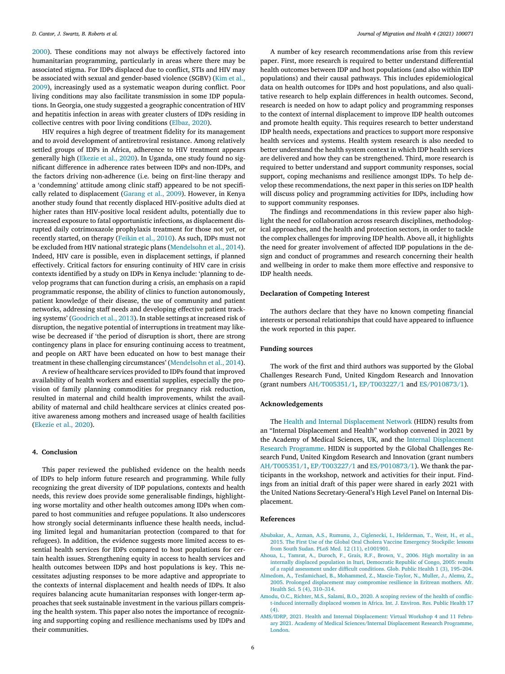<span id="page-5-0"></span>[2000\)](#page-6-0). These conditions may not always be effectively factored into humanitarian programming, particularly in areas where there may be associated stigma. For IDPs displaced due to conflict, STIs and HIV may be associated with sexual and [gender-based](#page-6-0) violence (SGBV) (Kim et al., 2009), increasingly used as a systematic weapon during conflict. Poor living conditions may also facilitate transmission in some IDP populations. In Georgia, one study suggested a geographic concentration of HIV and hepatitis infection in areas with greater clusters of IDPs residing in collective centres with poor living conditions [\(Elbaz,](#page-6-0) 2020).

HIV requires a high degree of treatment fidelity for its management and to avoid development of antiretroviral resistance. Among relatively settled groups of IDPs in Africa, adherence to HIV treatment appears generally high [\(Ekezie](#page-6-0) et al., 2020). In Uganda, one study found no significant difference in adherence rates between IDPs and non-IDPs, and the factors driving non-adherence (i.e. being on first-line therapy and a 'condemning' attitude among clinic staff) appeared to be not specifically related to displacement [\(Garang](#page-6-0) et al., 2009). However, in Kenya another study found that recently displaced HIV-positive adults died at higher rates than HIV-positive local resident adults, potentially due to increased exposure to fatal opportunistic infections, as displacement disrupted daily cotrimoxazole prophylaxis treatment for those not yet, or recently started, on therapy [\(Feikin](#page-6-0) et al., 2010). As such, IDPs must not be excluded from HIV national strategic plans [\(Mendelsohn](#page-7-0) et al., 2014). Indeed, HIV care is possible, even in displacement settings, if planned effectively. Critical factors for ensuring continuity of HIV care in crisis contexts identified by a study on IDPs in Kenya include: 'planning to develop programs that can function during a crisis, an emphasis on a rapid programmatic response, the ability of clinics to function autonomously, patient knowledge of their disease, the use of community and patient networks, addressing staff needs and developing effective patient tracking systems' [\(Goodrich](#page-6-0) et al., 2013). In stable settings at increased risk of disruption, the negative potential of interruptions in treatment may likewise be decreased if 'the period of disruption is short, there are strong contingency plans in place for ensuring continuing access to treatment, and people on ART have been educated on how to best manage their treatment in these challenging circumstances' [\(Mendelsohn](#page-7-0) et al., 2014).

A review of healthcare services provided to IDPs found that improved availability of health workers and essential supplies, especially the provision of family planning commodities for pregnancy risk reduction, resulted in maternal and child health improvements, whilst the availability of maternal and child healthcare services at clinics created positive awareness among mothers and increased usage of health facilities [\(Ekezie](#page-6-0) et al., 2020).

## **4. Conclusion**

This paper reviewed the published evidence on the health needs of IDPs to help inform future research and programming. While fully recognizing the great diversity of IDP populations, contexts and health needs, this review does provide some generalisable findings, highlighting worse mortality and other health outcomes among IDPs when compared to host communities and refugee populations. It also underscores how strongly social determinants influence these health needs, including limited legal and humanitarian protection (compared to that for refugees). In addition, the evidence suggests more limited access to essential health services for IDPs compared to host populations for certain health issues. Strengthening equity in access to health services and health outcomes between IDPs and host populations is key. This necessitates adjusting responses to be more adaptive and appropriate to the contexts of internal displacement and health needs of IDPs. It also requires balancing acute humanitarian responses with longer-term approaches that seek sustainable investment in the various pillars comprising the health system. This paper also notes the importance of recognizing and supporting coping and resilience mechanisms used by IDPs and their communities.

A number of key research recommendations arise from this review paper. First, more research is required to better understand differential health outcomes between IDP and host populations (and also within IDP populations) and their causal pathways. This includes epidemiological data on health outcomes for IDPs and host populations, and also qualitative research to help explain differences in health outcomes. Second, research is needed on how to adapt policy and programming responses to the context of internal displacement to improve IDP health outcomes and promote health equity. This requires research to better understand IDP health needs, expectations and practices to support more responsive health services and systems. Health system research is also needed to better understand the health system context in which IDP health services are delivered and how they can be strengthened. Third, more research is required to better understand and support community responses, social support, coping mechanisms and resilience amongst IDPs. To help develop these recommendations, the next paper in this series on IDP health will discuss policy and programming activities for IDPs, including how to support community responses.

The findings and recommendations in this review paper also highlight the need for collaboration across research disciplines, methodological approaches, and the health and protection sectors, in order to tackle the complex challenges for improving IDP health. Above all, it highlights the need for greater involvement of affected IDP populations in the design and conduct of programmes and research concerning their health and wellbeing in order to make them more effective and responsive to IDP health needs.

### **Declaration of Competing Interest**

The authors declare that they have no known competing financial interests or personal relationships that could have appeared to influence the work reported in this paper.

## **Funding sources**

The work of the first and third authors was supported by the Global Challenges Research Fund, United Kingdom Research and Innovation (grant numbers AH/T005351/1, EP/T003227/1 and ES/P010873/1).

#### **Acknowledgements**

The Health and Internal [Displacement](https://www.researchinginternaldisplacement.org/about/hidn-health-and-internal-displacement-network/) Network (HIDN) results from an "Internal Displacement and Health" workshop convened in 2021 by the Academy of Medical Sciences, UK, and the Internal [Displacement](https://rli.sas.ac.uk/research-projects/internal-displacement-research-programme) Research Programme. HIDN is supported by the Global Challenges Research Fund, United Kingdom Research and Innovation (grant numbers AH/T005351/1, EP/T003227/1 and ES/P010873/1). We thank the participants in the workshop, network and activities for their input. Findings from an initial draft of this paper were shared in early 2021 with the United Nations Secretary-General's High Level Panel on Internal Displacement.

## **References**

- [Abubakar,](http://refhub.elsevier.com/S2666-6235(21)00038-6/sbref0001) A., [Azman,](http://refhub.elsevier.com/S2666-6235(21)00038-6/sbref0001) A.S., [Rumunu,](http://refhub.elsevier.com/S2666-6235(21)00038-6/sbref0001) J., [Ciglenecki,](http://refhub.elsevier.com/S2666-6235(21)00038-6/sbref0001) I., [Helderman,](http://refhub.elsevier.com/S2666-6235(21)00038-6/sbref0001) T., [West,](http://refhub.elsevier.com/S2666-6235(21)00038-6/sbref0001) H., et [al.,](http://refhub.elsevier.com/S2666-6235(21)00038-6/sbref0001) 2015. The First Use of the Global Oral Cholera Vaccine Emergency Stockpile: lessons from South Sudan. PLoS Med. 12 (11), e1001901.
- [Ahoua,](http://refhub.elsevier.com/S2666-6235(21)00038-6/sbref0002) L., [Tamrat,](http://refhub.elsevier.com/S2666-6235(21)00038-6/sbref0002) A., [Duroch,](http://refhub.elsevier.com/S2666-6235(21)00038-6/sbref0002) F., [Grais,](http://refhub.elsevier.com/S2666-6235(21)00038-6/sbref0002) R.F., [Brown,](http://refhub.elsevier.com/S2666-6235(21)00038-6/sbref0002) V., 2006. High mortality in an internally displaced population in Ituri, [Democratic](http://refhub.elsevier.com/S2666-6235(21)00038-6/sbref0002) Republic of Congo, 2005: results of a rapid assessment under difficult conditions. Glob. Public Health 1 (3), 195–204.
- [Almedom,](http://refhub.elsevier.com/S2666-6235(21)00038-6/sbref0003) A., [Tesfamichael,](http://refhub.elsevier.com/S2666-6235(21)00038-6/sbref0003) B., [Mohammed,](http://refhub.elsevier.com/S2666-6235(21)00038-6/sbref0003) Z., [Mascie-Taylor,](http://refhub.elsevier.com/S2666-6235(21)00038-6/sbref0003) N., [Muller,](http://refhub.elsevier.com/S2666-6235(21)00038-6/sbref0003) J., [Alemu,](http://refhub.elsevier.com/S2666-6235(21)00038-6/sbref0003) Z., 2005. Prolonged displacement may compromise resilience in Eritrean mothers. Afr. Health Sci. 5 (4), 310–314.
- [Amodu,](http://refhub.elsevier.com/S2666-6235(21)00038-6/sbref0004) O.C., [Richter,](http://refhub.elsevier.com/S2666-6235(21)00038-6/sbref0004) M.S., [Salami,](http://refhub.elsevier.com/S2666-6235(21)00038-6/sbref0004) B.O., 2020. A scoping review of the health of conflict-induced [internally](http://refhub.elsevier.com/S2666-6235(21)00038-6/sbref0004) displaced women in Africa. Int. J. Environ. Res. Public Health 17  $(4)$ .
- AMS/IDRP, 2021. Health and Internal Displacement: Virtual Workshop 4 and 11 February 2021. Academy of Medical [Sciences/Internal](http://refhub.elsevier.com/S2666-6235(21)00038-6/sbref0005) Displacement Research Programme, London.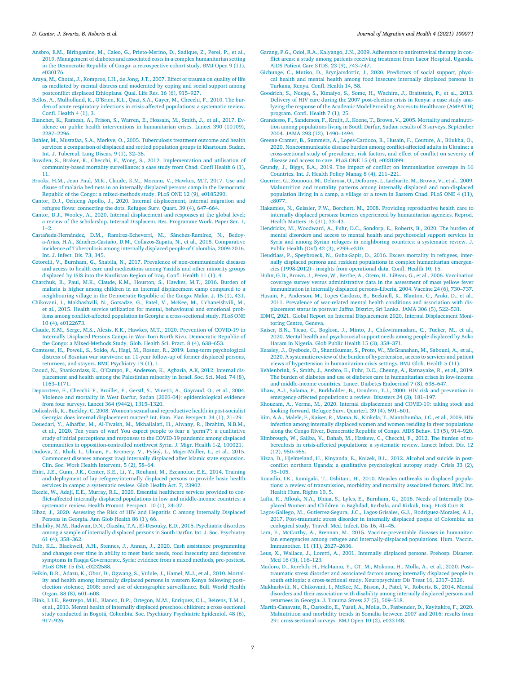- <span id="page-6-0"></span>[Ansbro,](http://refhub.elsevier.com/S2666-6235(21)00038-6/sbref0006) E.M., [Biringanine,](http://refhub.elsevier.com/S2666-6235(21)00038-6/sbref0006) M., [Caleo,](http://refhub.elsevier.com/S2666-6235(21)00038-6/sbref0006) G., [Prieto-Merino,](http://refhub.elsevier.com/S2666-6235(21)00038-6/sbref0006) D., [Sadique,](http://refhub.elsevier.com/S2666-6235(21)00038-6/sbref0006) Z., [Perel,](http://refhub.elsevier.com/S2666-6235(21)00038-6/sbref0006) P., et [al.,](http://refhub.elsevier.com/S2666-6235(21)00038-6/sbref0006) 2019. Management of diabetes and associated costs in a complex humanitarian setting in the Democratic Republic of Congo: a retrospective cohort study. BMJ Open 9 (11), e030176.
- [Araya,](http://refhub.elsevier.com/S2666-6235(21)00038-6/sbref0007) M., [Chotai,](http://refhub.elsevier.com/S2666-6235(21)00038-6/sbref0007) J., [Komproe,](http://refhub.elsevier.com/S2666-6235(21)00038-6/sbref0007) I.H., de [Jong,](http://refhub.elsevier.com/S2666-6235(21)00038-6/sbref0007) J.T., 2007. Effect of trauma on quality of life as mediated by mental distress and moderated by coping and social support among [postconflict](http://refhub.elsevier.com/S2666-6235(21)00038-6/sbref0007) displaced Ethiopians. Qual. Life Res. 16 (6), 915–927.
- [Bellos,](http://refhub.elsevier.com/S2666-6235(21)00038-6/sbref0008) A., [Mulholland,](http://refhub.elsevier.com/S2666-6235(21)00038-6/sbref0008) K., [O'Brien,](http://refhub.elsevier.com/S2666-6235(21)00038-6/sbref0008) K.L., [Qazi,](http://refhub.elsevier.com/S2666-6235(21)00038-6/sbref0008) S.A., [Gayer,](http://refhub.elsevier.com/S2666-6235(21)00038-6/sbref0008) M., [Checchi,](http://refhub.elsevier.com/S2666-6235(21)00038-6/sbref0008) F., 2010. The burden of acute respiratory infections in [crisis-affected](http://refhub.elsevier.com/S2666-6235(21)00038-6/sbref0008) populations: a systematic review. Confl. Health  $4(1), 3$ .
- [Blanchet,](http://refhub.elsevier.com/S2666-6235(21)00038-6/sbref0009) K., [Ramesh,](http://refhub.elsevier.com/S2666-6235(21)00038-6/sbref0009) A., [Frison,](http://refhub.elsevier.com/S2666-6235(21)00038-6/sbref0009) S., [Warren,](http://refhub.elsevier.com/S2666-6235(21)00038-6/sbref0009) E., [Hossain,](http://refhub.elsevier.com/S2666-6235(21)00038-6/sbref0009) M., [Smith,](http://refhub.elsevier.com/S2666-6235(21)00038-6/sbref0009) J., et [al.,](http://refhub.elsevier.com/S2666-6235(21)00038-6/sbref0009) 2017. Evidence on public health interventions in [humanitarian](http://refhub.elsevier.com/S2666-6235(21)00038-6/sbref0009) crises. Lancet 390 (10109), 2287–2296.
- [Bøhler,](http://refhub.elsevier.com/S2666-6235(21)00038-6/sbref0010) M., [Mustafaa,](http://refhub.elsevier.com/S2666-6235(21)00038-6/sbref0010) S.A., [Mørkve,](http://refhub.elsevier.com/S2666-6235(21)00038-6/sbref0010) O., 2005. [Tuberculosis](http://refhub.elsevier.com/S2666-6235(21)00038-6/sbref0010) treatment outcome and health services: a comparison of displaced and settled population groups in Khartoum. Sudan. Int. J. Tubercul. Lung Diseas. 9 (1), 32–36.
- [Bowden,](http://refhub.elsevier.com/S2666-6235(21)00038-6/sbref0011) S., [Braker,](http://refhub.elsevier.com/S2666-6235(21)00038-6/sbref0011) K., [Checchi,](http://refhub.elsevier.com/S2666-6235(21)00038-6/sbref0011) F., [Wong,](http://refhub.elsevier.com/S2666-6235(21)00038-6/sbref0011) S., 2012. Implementation and utilisation of [community-based](http://refhub.elsevier.com/S2666-6235(21)00038-6/sbref0011) mortality surveillance: a case study from Chad. Confl Health 6 (1), 11.
- [Brooks,](http://refhub.elsevier.com/S2666-6235(21)00038-6/sbref0012) H.M., Jean Paul, [M.K.,](http://refhub.elsevier.com/S2666-6235(21)00038-6/sbref0012) [Claude,](http://refhub.elsevier.com/S2666-6235(21)00038-6/sbref0012) K.M., [Mocanu,](http://refhub.elsevier.com/S2666-6235(21)00038-6/sbref0012) V., [Hawkes,](http://refhub.elsevier.com/S2666-6235(21)00038-6/sbref0012) M.T, 2017. Use and disuse of malaria bed nets in an internally displaced persons camp in the Democratic Republic of the Congo: a [mixed-methods](http://refhub.elsevier.com/S2666-6235(21)00038-6/sbref0012) study. PLoS ONE 12 (9), e0185290.
- [Cantor,](http://refhub.elsevier.com/S2666-6235(21)00038-6/sbref0013) D.J., [Ochieng](http://refhub.elsevier.com/S2666-6235(21)00038-6/sbref0013) Apollo, J., 2020. Internal [displacement,](http://refhub.elsevier.com/S2666-6235(21)00038-6/sbref0013) internal migration and refugee flows: connecting the dots. Refugee Surv. Quart. 39 (4), 647–664.
- [Cantor,](http://refhub.elsevier.com/S2666-6235(21)00038-6/sbref0014) D.J., [Wooley,](http://refhub.elsevier.com/S2666-6235(21)00038-6/sbref0014) A., 2020. Internal [displacement](http://refhub.elsevier.com/S2666-6235(21)00038-6/sbref0014) and responses at the global level: a review of the scholarship. Internal Displacem. Res. Programme Work. Paper Ser. 1,  $1 - 2$
- [Castañeda-Hernández,](http://refhub.elsevier.com/S2666-6235(21)00038-6/sbref0015) D.M., [Ramírez-Echeverri,](http://refhub.elsevier.com/S2666-6235(21)00038-6/sbref0015) M., [Sánchez-Ramírez,](http://refhub.elsevier.com/S2666-6235(21)00038-6/sbref0015) N., Bedoya-Arias, H.A., [Sánchez-Castaño,](http://refhub.elsevier.com/S2666-6235(21)00038-6/sbref0015) D.M., [Collazos-Zapata,](http://refhub.elsevier.com/S2666-6235(21)00038-6/sbref0015) N., et [al.,](http://refhub.elsevier.com/S2666-6235(21)00038-6/sbref0015) 2018. Comparative incidence of Tuberculosis among internally displaced people of Colombia, 2009-2016. Int. J. Infect. Dis. 73, 345.
- [Cetorelli,](http://refhub.elsevier.com/S2666-6235(21)00038-6/sbref0016) V., [Burnham,](http://refhub.elsevier.com/S2666-6235(21)00038-6/sbref0016) G., [Shabila,](http://refhub.elsevier.com/S2666-6235(21)00038-6/sbref0016) N., 2017. Prevalence of [non-communicable](http://refhub.elsevier.com/S2666-6235(21)00038-6/sbref0016) diseases and access to health care and medications among Yazidis and other minority groups displaced by ISIS into the Kurdistan Region of Iraq. Confl. Health 11 (1), 4.
- [Charchuk,](http://refhub.elsevier.com/S2666-6235(21)00038-6/sbref0017) R., [Paul,](http://refhub.elsevier.com/S2666-6235(21)00038-6/sbref0017) M.K., [Claude,](http://refhub.elsevier.com/S2666-6235(21)00038-6/sbref0017) K.M., [Houston,](http://refhub.elsevier.com/S2666-6235(21)00038-6/sbref0017) S., [Hawkes,](http://refhub.elsevier.com/S2666-6235(21)00038-6/sbref0017) M.T., 2016. Burden of malaria is higher among children in an internal displacement camp compared to a [neighbouring](http://refhub.elsevier.com/S2666-6235(21)00038-6/sbref0017) village in the Democratic Republic of the Congo. Malar. J. 15 (1), 431.
- [Chikovani,](http://refhub.elsevier.com/S2666-6235(21)00038-6/sbref0018) I., [Makhashvili,](http://refhub.elsevier.com/S2666-6235(21)00038-6/sbref0018) N., [Gotsadze,](http://refhub.elsevier.com/S2666-6235(21)00038-6/sbref0018) G., [Patel,](http://refhub.elsevier.com/S2666-6235(21)00038-6/sbref0018) V., [McKee,](http://refhub.elsevier.com/S2666-6235(21)00038-6/sbref0018) M., [Uchaneishvili,](http://refhub.elsevier.com/S2666-6235(21)00038-6/sbref0018) M., et [al.,](http://refhub.elsevier.com/S2666-6235(21)00038-6/sbref0018) 2015. Health service utilization for mental, behavioural and emotional problems among [conflict-affected](http://refhub.elsevier.com/S2666-6235(21)00038-6/sbref0018) population in Georgia: a cross-sectional study. PLoS ONE 10 (4), e0122673.
- [Claude,](http://refhub.elsevier.com/S2666-6235(21)00038-6/sbref0019) K.M., [Serge,](http://refhub.elsevier.com/S2666-6235(21)00038-6/sbref0019) M.S., [Alexis,](http://refhub.elsevier.com/S2666-6235(21)00038-6/sbref0019) K.K., [Hawkes,](http://refhub.elsevier.com/S2666-6235(21)00038-6/sbref0019) M.T., 2020. Prevention of COVID-19 in Internally Displaced Persons Camps in War-Torn North Kivu, Democratic Republic of the Congo: a [Mixed-Methods](http://refhub.elsevier.com/S2666-6235(21)00038-6/sbref0019) Study. Glob. Health Sci. Pract. 8 (4), 638–653.
- [Comtesse,](http://refhub.elsevier.com/S2666-6235(21)00038-6/sbref0020) H., [Powell,](http://refhub.elsevier.com/S2666-6235(21)00038-6/sbref0020) S., [Soldo,](http://refhub.elsevier.com/S2666-6235(21)00038-6/sbref0020) A., [Hagl,](http://refhub.elsevier.com/S2666-6235(21)00038-6/sbref0020) M., [Rosner,](http://refhub.elsevier.com/S2666-6235(21)00038-6/sbref0020) R., 2019. Long-term [psychological](http://refhub.elsevier.com/S2666-6235(21)00038-6/sbref0020) distress of Bosnian war survivors: an 11-year follow-up of former displaced persons, returnees, and stayers. BMC Psychiatry 19 (1), 1.
- [Daoud,](http://refhub.elsevier.com/S2666-6235(21)00038-6/sbref0021) N., [Shankardass,](http://refhub.elsevier.com/S2666-6235(21)00038-6/sbref0021) K., [O'Campo,](http://refhub.elsevier.com/S2666-6235(21)00038-6/sbref0021) P., [Anderson,](http://refhub.elsevier.com/S2666-6235(21)00038-6/sbref0021) K., [Agbaria,](http://refhub.elsevier.com/S2666-6235(21)00038-6/sbref0021) A.K, 2012. Internal displacement and health among the Palestinian minority in Israel. Soc. Sci. Med. 74 (8), 1163–1171.
- [Depoortere,](http://refhub.elsevier.com/S2666-6235(21)00038-6/sbref0022) E., [Checchi,](http://refhub.elsevier.com/S2666-6235(21)00038-6/sbref0022) F., [Broillet,](http://refhub.elsevier.com/S2666-6235(21)00038-6/sbref0022) F., [Gerstl,](http://refhub.elsevier.com/S2666-6235(21)00038-6/sbref0022) S., [Minetti,](http://refhub.elsevier.com/S2666-6235(21)00038-6/sbref0022) A., [Gayraud,](http://refhub.elsevier.com/S2666-6235(21)00038-6/sbref0022) O., et [al.,](http://refhub.elsevier.com/S2666-6235(21)00038-6/sbref0022) 2004. Violence and mortality in West Darfur, Sudan (2003-04): [epidemiological](http://refhub.elsevier.com/S2666-6235(21)00038-6/sbref0022) evidence from four surveys. Lancet 364 (9442), 1315–1320.
- [Doliashvili,](http://refhub.elsevier.com/S2666-6235(21)00038-6/sbref0023) K., [Buckley,](http://refhub.elsevier.com/S2666-6235(21)00038-6/sbref0023) C, 2008. Women's sexual and reproductive health in post-socialist Georgia: does internal [displacement](http://refhub.elsevier.com/S2666-6235(21)00038-6/sbref0023) matter? Int. Fam. Plan Perspect. 34 (1), 21–29.
- [Douedari,](http://refhub.elsevier.com/S2666-6235(21)00038-6/sbref0024) Y., [Alhaffar,](http://refhub.elsevier.com/S2666-6235(21)00038-6/sbref0024) M., [Al-Twaish,](http://refhub.elsevier.com/S2666-6235(21)00038-6/sbref0024) M., [Mkhallalati,](http://refhub.elsevier.com/S2666-6235(21)00038-6/sbref0024) H., [Alwany,](http://refhub.elsevier.com/S2666-6235(21)00038-6/sbref0024) R., [Ibrahim,](http://refhub.elsevier.com/S2666-6235(21)00038-6/sbref0024) N.B.M., et [al.,](http://refhub.elsevier.com/S2666-6235(21)00038-6/sbref0024) 2020. Ten years of war! You expect people to fear a 'germ'?": a qualitative study of initial perceptions and responses to the COVID-19 pandemic among displaced communities in [opposition-controlled](http://refhub.elsevier.com/S2666-6235(21)00038-6/sbref0024) northwest Syria. J. Migr. Health 1-2, 100021.
- [Dudova,](http://refhub.elsevier.com/S2666-6235(21)00038-6/sbref0025) Z., [Khali,](http://refhub.elsevier.com/S2666-6235(21)00038-6/sbref0025) I., [Ulman,](http://refhub.elsevier.com/S2666-6235(21)00038-6/sbref0025) P., [Krcmery,](http://refhub.elsevier.com/S2666-6235(21)00038-6/sbref0025) V., [Pyšný,](http://refhub.elsevier.com/S2666-6235(21)00038-6/sbref0025) L., [Majer-Müller,](http://refhub.elsevier.com/S2666-6235(21)00038-6/sbref0025) L., et [al.,](http://refhub.elsevier.com/S2666-6235(21)00038-6/sbref0025) 2015. Commonest diseases amongst iraqi internally displaced after Islamic state expansion. Clin. Soc. Work Health Intervent. 5 (2), 58–64.
- [Ehiri,](http://refhub.elsevier.com/S2666-6235(21)00038-6/sbref0026) J.E., [Gunn,](http://refhub.elsevier.com/S2666-6235(21)00038-6/sbref0026) J.K., [Center,](http://refhub.elsevier.com/S2666-6235(21)00038-6/sbref0026) K.E., Li, [Y.,](http://refhub.elsevier.com/S2666-6235(21)00038-6/sbref0026) [Rouhani,](http://refhub.elsevier.com/S2666-6235(21)00038-6/sbref0026) M., [Ezeanolue,](http://refhub.elsevier.com/S2666-6235(21)00038-6/sbref0026) E.E., 2014. Training and deployment of lay [refugee/internally](http://refhub.elsevier.com/S2666-6235(21)00038-6/sbref0026) displaced persons to provide basic health services in camps: a systematic review. Glob Health Act. 7, 23902.
- [Ekezie,](http://refhub.elsevier.com/S2666-6235(21)00038-6/sbref0027) W., [Adaji,](http://refhub.elsevier.com/S2666-6235(21)00038-6/sbref0027) E.E., [Murray,](http://refhub.elsevier.com/S2666-6235(21)00038-6/sbref0027) R.L., 2020. Essential healthcare services provided to conflict-affected internally displaced populations in low and [middle-income](http://refhub.elsevier.com/S2666-6235(21)00038-6/sbref0027) countries: a systematic review. Health Promot. Perspect. 10 (1), 24–37.
- [Elbaz,](http://refhub.elsevier.com/S2666-6235(21)00038-6/sbref0028) J., 2020. Assessing the Risk of HIV and Hepatitis C among [Internally](http://refhub.elsevier.com/S2666-6235(21)00038-6/sbref0028) Displaced Persons in Georgia. Ann Glob Health 86 (1), 66.
- [Elhabiby,](http://refhub.elsevier.com/S2666-6235(21)00038-6/sbref0029) M.M., [Radwan,](http://refhub.elsevier.com/S2666-6235(21)00038-6/sbref0029) D.N., [Okasha,](http://refhub.elsevier.com/S2666-6235(21)00038-6/sbref0029) T.A., [El-Desouky,](http://refhub.elsevier.com/S2666-6235(21)00038-6/sbref0029) E.D., 2015. Psychiatric disorders among a sample of internally displaced persons in South Darfur. Int. J. Soc. Psychiatry 61 (4), 358–362.
- [Falb,](http://refhub.elsevier.com/S2666-6235(21)00038-6/sbref0030) K.L., [Blackwell,](http://refhub.elsevier.com/S2666-6235(21)00038-6/sbref0030) A.H., [Stennes,](http://refhub.elsevier.com/S2666-6235(21)00038-6/sbref0030) J., [Annan,](http://refhub.elsevier.com/S2666-6235(21)00038-6/sbref0030) J., 2020. Cash assistance [programming](http://refhub.elsevier.com/S2666-6235(21)00038-6/sbref0030) and changes over time in ability to meet basic needs, food insecurity and depressive symptoms in Raqqa Governorate, Syria: evidence from a mixed methods, pre-posttest. PLoS ONE 15 (5), e0232588.
- [Feikin,](http://refhub.elsevier.com/S2666-6235(21)00038-6/sbref0031) D.R., [Adazu,](http://refhub.elsevier.com/S2666-6235(21)00038-6/sbref0031) K., [Obor,](http://refhub.elsevier.com/S2666-6235(21)00038-6/sbref0031) D., [Ogwang,](http://refhub.elsevier.com/S2666-6235(21)00038-6/sbref0031) S., [Vulule,](http://refhub.elsevier.com/S2666-6235(21)00038-6/sbref0031) J., [Hamel,](http://refhub.elsevier.com/S2666-6235(21)00038-6/sbref0031) M.J., et [al.,](http://refhub.elsevier.com/S2666-6235(21)00038-6/sbref0031) 2010. Mortality and health among internally displaced persons in western Kenya following post– election violence, 2008: novel use of [demographic](http://refhub.elsevier.com/S2666-6235(21)00038-6/sbref0031) surveillance. Bull. World Health Organ. 88 (8), 601–608.
- [Flink,](http://refhub.elsevier.com/S2666-6235(21)00038-6/sbref0032) I.J.E., [Restrepo,](http://refhub.elsevier.com/S2666-6235(21)00038-6/sbref0032) M.H., [Blanco,](http://refhub.elsevier.com/S2666-6235(21)00038-6/sbref0032) D.P., [Ortegon,](http://refhub.elsevier.com/S2666-6235(21)00038-6/sbref0032) M.M., [Enriquez,](http://refhub.elsevier.com/S2666-6235(21)00038-6/sbref0032) C.L., [Beirens,](http://refhub.elsevier.com/S2666-6235(21)00038-6/sbref0032) T.M.J., et [al.,](http://refhub.elsevier.com/S2666-6235(21)00038-6/sbref0032) 2013. Mental health of internally displaced preschool children: a [cross-sectional](http://refhub.elsevier.com/S2666-6235(21)00038-6/sbref0032) study conducted in Bogotá, Colombia. Soc. Psychiatry Psychiatric Epidemiol. 48 (6), 917–926.
- [Garang,](http://refhub.elsevier.com/S2666-6235(21)00038-6/sbref0033) P.G., [Odoi,](http://refhub.elsevier.com/S2666-6235(21)00038-6/sbref0033) R.A., [Kalyango,](http://refhub.elsevier.com/S2666-6235(21)00038-6/sbref0033) J.N., 2009. Adherence to [antiretroviral](http://refhub.elsevier.com/S2666-6235(21)00038-6/sbref0033) therapy in conflict areas: a study among patients receiving treatment from Lacor Hospital, Uganda. AIDS Patient Care STDS. 23 (9), 743–747.
- [Gichunge,](http://refhub.elsevier.com/S2666-6235(21)00038-6/sbref0034) C., [Mutiso,](http://refhub.elsevier.com/S2666-6235(21)00038-6/sbref0034) D., [Brynjarsdottir,](http://refhub.elsevier.com/S2666-6235(21)00038-6/sbref0034) J., 2020. Predictors of social support, physical health and mental health among food insecure internally displaced persons in Turkana, Kenya. Confl. Health 14, 58.
- [Goodrich,](http://refhub.elsevier.com/S2666-6235(21)00038-6/sbref0035) S., [Ndege,](http://refhub.elsevier.com/S2666-6235(21)00038-6/sbref0035) S., [Kimaiyo,](http://refhub.elsevier.com/S2666-6235(21)00038-6/sbref0035) S., [Some,](http://refhub.elsevier.com/S2666-6235(21)00038-6/sbref0035) H., [Wachira,](http://refhub.elsevier.com/S2666-6235(21)00038-6/sbref0035) J., [Braitstein,](http://refhub.elsevier.com/S2666-6235(21)00038-6/sbref0035) P., et [al.,](http://refhub.elsevier.com/S2666-6235(21)00038-6/sbref0035) 2013. Delivery of HIV care during the 2007 [post-election](http://refhub.elsevier.com/S2666-6235(21)00038-6/sbref0035) crisis in Kenya: a case study ana-lyzing the response of the Academic Model Providing Access to Healthcare (AMPATH) program. Confl. Health 7 (1), 25.
- [Grandesso,](http://refhub.elsevier.com/S2666-6235(21)00038-6/sbref0036) F., [Sanderson,](http://refhub.elsevier.com/S2666-6235(21)00038-6/sbref0036) F., [Kruijt,](http://refhub.elsevier.com/S2666-6235(21)00038-6/sbref0036) J., [Koene,](http://refhub.elsevier.com/S2666-6235(21)00038-6/sbref0036) T., [Brown,](http://refhub.elsevier.com/S2666-6235(21)00038-6/sbref0036) V., 2005. Mortality and malnutrition among populations living in South Darfur, Sudan: results of 3 surveys, September 2004. JAMA 293 (12), [1490–1494.](http://refhub.elsevier.com/S2666-6235(21)00038-6/sbref0036)
- [Greene-Cramer,](http://refhub.elsevier.com/S2666-6235(21)00038-6/sbref0037) B., [Summers,](http://refhub.elsevier.com/S2666-6235(21)00038-6/sbref0037) A., [Lopes-Cardozo,](http://refhub.elsevier.com/S2666-6235(21)00038-6/sbref0037) B., [Husain,](http://refhub.elsevier.com/S2666-6235(21)00038-6/sbref0037) F., [Couture,](http://refhub.elsevier.com/S2666-6235(21)00038-6/sbref0037) A., [Bilukha,](http://refhub.elsevier.com/S2666-6235(21)00038-6/sbref0037) O., 2020. [Noncommunicable](http://refhub.elsevier.com/S2666-6235(21)00038-6/sbref0037) disease burden among conflict-affected adults in Ukraine: a cross-sectional study of prevalence, risk factors, and effect of conflict on severity of disease and access to care. PLoS ONE 15 (4), e0231899.
- [Grundy,](http://refhub.elsevier.com/S2666-6235(21)00038-6/sbref0038) J., [Biggs,](http://refhub.elsevier.com/S2666-6235(21)00038-6/sbref0038) B.A., 2019. The impact of conflict on [immunisation](http://refhub.elsevier.com/S2666-6235(21)00038-6/sbref0038) coverage in 16 Countries. Int. J. Health Policy Manag 8 (4), 211–221.
- [Guerrier,](http://refhub.elsevier.com/S2666-6235(21)00038-6/sbref0039) G., [Zounoun,](http://refhub.elsevier.com/S2666-6235(21)00038-6/sbref0039) M., [Delarosa,](http://refhub.elsevier.com/S2666-6235(21)00038-6/sbref0039) O., [Defourny,](http://refhub.elsevier.com/S2666-6235(21)00038-6/sbref0039) I., [Lacharite,](http://refhub.elsevier.com/S2666-6235(21)00038-6/sbref0039) M., [Brown,](http://refhub.elsevier.com/S2666-6235(21)00038-6/sbref0039) V., et [al.,](http://refhub.elsevier.com/S2666-6235(21)00038-6/sbref0039) 2009. Malnutrition and mortality patterns among internally displaced and [non-displaced](http://refhub.elsevier.com/S2666-6235(21)00038-6/sbref0039) population living in a camp, a village or a town in Eastern Chad. PLoS ONE 4 (11), e8077.
- [Hakamies,](http://refhub.elsevier.com/S2666-6235(21)00038-6/sbref0040) N., [Geissler,](http://refhub.elsevier.com/S2666-6235(21)00038-6/sbref0040) P.W., [Borchert,](http://refhub.elsevier.com/S2666-6235(21)00038-6/sbref0040) M., 2008. Providing reproductive health care to internally displaced persons: barriers experienced by [humanitarian](http://refhub.elsevier.com/S2666-6235(21)00038-6/sbref0040) agencies. Reprod. Health Matters 16 (31), 33–43.
- [Hendrickx,](http://refhub.elsevier.com/S2666-6235(21)00038-6/sbref0041) M., [Woodward,](http://refhub.elsevier.com/S2666-6235(21)00038-6/sbref0041) A., [Fuhr,](http://refhub.elsevier.com/S2666-6235(21)00038-6/sbref0041) D.C., [Sondorp,](http://refhub.elsevier.com/S2666-6235(21)00038-6/sbref0041) E., [Roberts,](http://refhub.elsevier.com/S2666-6235(21)00038-6/sbref0041) B., 2020. The burden of mental disorders and access to mental health and [psychosocial](http://refhub.elsevier.com/S2666-6235(21)00038-6/sbref0041) support services in Syria and among Syrian refugees in neighboring countries: a systematic review. J. Public Health (Oxf) 42 (3), e299–e310.
- [Heudtlass,](http://refhub.elsevier.com/S2666-6235(21)00038-6/sbref0042) P., [Speybroeck,](http://refhub.elsevier.com/S2666-6235(21)00038-6/sbref0042) N., [Guha-Sapir,](http://refhub.elsevier.com/S2666-6235(21)00038-6/sbref0042) D., 2016. Excess mortality in refugees, internally displaced persons and resident populations in complex [humanitarian](http://refhub.elsevier.com/S2666-6235(21)00038-6/sbref0042) emergencies (1998-2012) - insights from operational data. Confl. Health 10, 15.
- [Huhn,](http://refhub.elsevier.com/S2666-6235(21)00038-6/sbref0043) G.D., [Brown,](http://refhub.elsevier.com/S2666-6235(21)00038-6/sbref0043) J., [Perea,](http://refhub.elsevier.com/S2666-6235(21)00038-6/sbref0043) W., [Berthe,](http://refhub.elsevier.com/S2666-6235(21)00038-6/sbref0043) A., [Otero,](http://refhub.elsevier.com/S2666-6235(21)00038-6/sbref0043) H., [LiBeau,](http://refhub.elsevier.com/S2666-6235(21)00038-6/sbref0043) G., et [al.,](http://refhub.elsevier.com/S2666-6235(21)00038-6/sbref0043) 2006. Vaccination coverage survey versus administrative data in the assessment of mass yellow fever immunization in internally displaced [persons–Liberia,](http://refhub.elsevier.com/S2666-6235(21)00038-6/sbref0043) 2004. Vaccine 24 (6), 730–737.
- [Husain,](http://refhub.elsevier.com/S2666-6235(21)00038-6/sbref0044) F., [Anderson,](http://refhub.elsevier.com/S2666-6235(21)00038-6/sbref0044) M., Lopes [Cardozo,](http://refhub.elsevier.com/S2666-6235(21)00038-6/sbref0044) B., [Becknell,](http://refhub.elsevier.com/S2666-6235(21)00038-6/sbref0044) K., [Blanton,](http://refhub.elsevier.com/S2666-6235(21)00038-6/sbref0044) C., [Araki,](http://refhub.elsevier.com/S2666-6235(21)00038-6/sbref0044) D., et [al.,](http://refhub.elsevier.com/S2666-6235(21)00038-6/sbref0044) 2011. Prevalence of [war-related](http://refhub.elsevier.com/S2666-6235(21)00038-6/sbref0044) mental health conditions and association with displacement status in postwar Jaffna District, Sri Lanka. JAMA 306 (5), 522–531.
- IDMC, 2021. Global Report on Internal [Displacement](http://refhub.elsevier.com/S2666-6235(21)00038-6/sbref0045) 2020. Internal Displacement Monitoring Centre, Geneva.
- [Kaiser,](http://refhub.elsevier.com/S2666-6235(21)00038-6/sbref0046) B.N., [Ticao,](http://refhub.elsevier.com/S2666-6235(21)00038-6/sbref0046) C., [Boglosa,](http://refhub.elsevier.com/S2666-6235(21)00038-6/sbref0046) J., [Minto,](http://refhub.elsevier.com/S2666-6235(21)00038-6/sbref0046) J., [Chikwiramadara,](http://refhub.elsevier.com/S2666-6235(21)00038-6/sbref0046) C., [Tucker,](http://refhub.elsevier.com/S2666-6235(21)00038-6/sbref0046) M., et [al.,](http://refhub.elsevier.com/S2666-6235(21)00038-6/sbref0046) 2020. Mental health and psychosocial support needs among people displaced by Boko Haram in Nigeria. Glob Public Health 15 (3), 358–371.
- [Keasley,](http://refhub.elsevier.com/S2666-6235(21)00038-6/sbref0047) J., [Oyebode,](http://refhub.elsevier.com/S2666-6235(21)00038-6/sbref0047) O., [Shantikumar,](http://refhub.elsevier.com/S2666-6235(21)00038-6/sbref0047) S., [Proto,](http://refhub.elsevier.com/S2666-6235(21)00038-6/sbref0047) W., [McGranahan,](http://refhub.elsevier.com/S2666-6235(21)00038-6/sbref0047) M., [Sabouni,](http://refhub.elsevier.com/S2666-6235(21)00038-6/sbref0047) A., et [al.,](http://refhub.elsevier.com/S2666-6235(21)00038-6/sbref0047) 2020. A systematic review of the burden of [hypertension,](http://refhub.elsevier.com/S2666-6235(21)00038-6/sbref0047) access to services and patient views of hypertension in humanitarian crisis settings. BMJ Glob. Health 5 (11)
- [Kehlenbrink,](http://refhub.elsevier.com/S2666-6235(21)00038-6/sbref0048) S., [Smith,](http://refhub.elsevier.com/S2666-6235(21)00038-6/sbref0048) J., [Ansbro,](http://refhub.elsevier.com/S2666-6235(21)00038-6/sbref0048) E., [Fuhr,](http://refhub.elsevier.com/S2666-6235(21)00038-6/sbref0048) D.C., [Cheung,](http://refhub.elsevier.com/S2666-6235(21)00038-6/sbref0048) A., [Ratnayake,](http://refhub.elsevier.com/S2666-6235(21)00038-6/sbref0048) R., et [al.,](http://refhub.elsevier.com/S2666-6235(21)00038-6/sbref0048) 2019. The burden of diabetes and use of diabetes care in humanitarian crises in low-income and [middle-income](http://refhub.elsevier.com/S2666-6235(21)00038-6/sbref0048) countries. Lancet Diabetes Endocrinol 7 (8), 638–647.
- [Khaw,](http://refhub.elsevier.com/S2666-6235(21)00038-6/sbref0049) A.J., [Salama,](http://refhub.elsevier.com/S2666-6235(21)00038-6/sbref0049) P., [Burkholder,](http://refhub.elsevier.com/S2666-6235(21)00038-6/sbref0049) B., [Dondero,](http://refhub.elsevier.com/S2666-6235(21)00038-6/sbref0049) T.J., 2000. HIV risk and prevention in [emergency-affected](http://refhub.elsevier.com/S2666-6235(21)00038-6/sbref0049) populations: a review. Disasters 24 (3), 181–197.
- [Khouzam,](http://refhub.elsevier.com/S2666-6235(21)00038-6/sbref0050) A., [Verma,](http://refhub.elsevier.com/S2666-6235(21)00038-6/sbref0050) M., 2020. Internal [displacement](http://refhub.elsevier.com/S2666-6235(21)00038-6/sbref0050) and COVID-19: taking stock and looking forward. Refugee Surv. Quarterl. 39 (4), 591–601.
- Kim, [A.A.,](http://refhub.elsevier.com/S2666-6235(21)00038-6/sbref0051) [Malele,](http://refhub.elsevier.com/S2666-6235(21)00038-6/sbref0051) F., [Kaiser,](http://refhub.elsevier.com/S2666-6235(21)00038-6/sbref0051) R., [Mama,](http://refhub.elsevier.com/S2666-6235(21)00038-6/sbref0051) N., [Kinkela,](http://refhub.elsevier.com/S2666-6235(21)00038-6/sbref0051) T., [Mantshumba,](http://refhub.elsevier.com/S2666-6235(21)00038-6/sbref0051) J.C., et [al.,](http://refhub.elsevier.com/S2666-6235(21)00038-6/sbref0051) 2009. HIV infection among internally displaced women and women residing in river populations along the Congo River, Democratic Republic of Congo. AIDS Behav. 13 (5), 914–920.
- [Kimbrough,](http://refhub.elsevier.com/S2666-6235(21)00038-6/sbref0052) W., [Saliba,](http://refhub.elsevier.com/S2666-6235(21)00038-6/sbref0052) V., [Dahab,](http://refhub.elsevier.com/S2666-6235(21)00038-6/sbref0052) M., [Haskew,](http://refhub.elsevier.com/S2666-6235(21)00038-6/sbref0052) C., [Checchi,](http://refhub.elsevier.com/S2666-6235(21)00038-6/sbref0052) F., 2012. The burden of tuberculosis in [crisis-affected](http://refhub.elsevier.com/S2666-6235(21)00038-6/sbref0052) populations: a systematic review. Lancet Infect. Dis. 12 (12), 950–965.
- [Kizza,](http://refhub.elsevier.com/S2666-6235(21)00038-6/sbref0053) D., [Hjelmeland,](http://refhub.elsevier.com/S2666-6235(21)00038-6/sbref0053) H., [Kinyanda,](http://refhub.elsevier.com/S2666-6235(21)00038-6/sbref0053) E., [Knizek,](http://refhub.elsevier.com/S2666-6235(21)00038-6/sbref0053) B.L., 2012. Alcohol and suicide in postconflict northern Uganda: a qualitative [psychological](http://refhub.elsevier.com/S2666-6235(21)00038-6/sbref0053) autopsy study. Crisis 33 (2), 95–105.
- [Kouadio,](http://refhub.elsevier.com/S2666-6235(21)00038-6/sbref0054) I.K., [Kamigaki,](http://refhub.elsevier.com/S2666-6235(21)00038-6/sbref0054) T., [Oshitani,](http://refhub.elsevier.com/S2666-6235(21)00038-6/sbref0054) H., 2010. Measles outbreaks in displaced populations: a review of [transmission,](http://refhub.elsevier.com/S2666-6235(21)00038-6/sbref0054) morbidity and mortality associated factors. BMC Int. Health Hum. Rights 10, 5.
- [Lafta,](http://refhub.elsevier.com/S2666-6235(21)00038-6/sbref0055) R., [Aflouk,](http://refhub.elsevier.com/S2666-6235(21)00038-6/sbref0055) N.A., [Dhiaa,](http://refhub.elsevier.com/S2666-6235(21)00038-6/sbref0055) S., [Lyles,](http://refhub.elsevier.com/S2666-6235(21)00038-6/sbref0055) E., [Burnham,](http://refhub.elsevier.com/S2666-6235(21)00038-6/sbref0055) G., 2016. Needs of Internally Displaced Women and Children in Baghdad, Karbala, and Kirkuk, Iraq. PLoS Curr 8.
- [Lagos-Gallego,](http://refhub.elsevier.com/S2666-6235(21)00038-6/sbref0056) M., [Gutierrez-Segura,](http://refhub.elsevier.com/S2666-6235(21)00038-6/sbref0056) J.C., [Lagos-Grisales,](http://refhub.elsevier.com/S2666-6235(21)00038-6/sbref0056) G.J., [Rodriguez-Morales,](http://refhub.elsevier.com/S2666-6235(21)00038-6/sbref0056) A.J., 2017. Post-traumatic stress disorder in internally displaced people of Colombia: an ecological study. Travel. Med. Infect. Dis 16, 41–45.
- [Lam,](http://refhub.elsevier.com/S2666-6235(21)00038-6/sbref0057) E., [McCarthy,](http://refhub.elsevier.com/S2666-6235(21)00038-6/sbref0057) A., [Brennan,](http://refhub.elsevier.com/S2666-6235(21)00038-6/sbref0057) M., 2015. [Vaccine-preventable](http://refhub.elsevier.com/S2666-6235(21)00038-6/sbref0057) diseases in humanitarian emergencies among refugee and internally-displaced populations. Hum. Vaccin. Immunother. 11 (11), 2627–2636.
- [Leus,](http://refhub.elsevier.com/S2666-6235(21)00038-6/sbref0058) X., [Wallace,](http://refhub.elsevier.com/S2666-6235(21)00038-6/sbref0058) J., [Loretti,](http://refhub.elsevier.com/S2666-6235(21)00038-6/sbref0058) A., 2001. [Internally](http://refhub.elsevier.com/S2666-6235(21)00038-6/sbref0058) displaced persons. Prehosp. Disaster. Med 16 (3), 116–123.
- [Madoro,](http://refhub.elsevier.com/S2666-6235(21)00038-6/sbref0059) D., [Kerebih,](http://refhub.elsevier.com/S2666-6235(21)00038-6/sbref0059) H., [Habtamu,](http://refhub.elsevier.com/S2666-6235(21)00038-6/sbref0059) Y., [GT,](http://refhub.elsevier.com/S2666-6235(21)00038-6/sbref0059) M., [Mokona,](http://refhub.elsevier.com/S2666-6235(21)00038-6/sbref0059) H., [Molla,](http://refhub.elsevier.com/S2666-6235(21)00038-6/sbref0059) A., et [al.,](http://refhub.elsevier.com/S2666-6235(21)00038-6/sbref0059) 2020. Post– traumatic stress disorder and associated factors among internally displaced people in south ethiopia: a cross-sectional study. [Neuropsychiatr](http://refhub.elsevier.com/S2666-6235(21)00038-6/sbref0059) Dis Treat 16, 2317–2326.
- [Makhashvili,](http://refhub.elsevier.com/S2666-6235(21)00038-6/sbref0060) N., [Chikovani,](http://refhub.elsevier.com/S2666-6235(21)00038-6/sbref0060) I., [McKee,](http://refhub.elsevier.com/S2666-6235(21)00038-6/sbref0060) M., [Bisson,](http://refhub.elsevier.com/S2666-6235(21)00038-6/sbref0060) J., [Patel,](http://refhub.elsevier.com/S2666-6235(21)00038-6/sbref0060) V., [Roberts,](http://refhub.elsevier.com/S2666-6235(21)00038-6/sbref0060) B., 2014. Mental disorders and their [association](http://refhub.elsevier.com/S2666-6235(21)00038-6/sbref0060) with disability among internally displaced persons and returnees in Georgia. J. Trauma Stress 27 (5), 509–518.
- [Martin-Canavate,](http://refhub.elsevier.com/S2666-6235(21)00038-6/sbref0061) R., [Custodio,](http://refhub.elsevier.com/S2666-6235(21)00038-6/sbref0061) E., [Yusuf,](http://refhub.elsevier.com/S2666-6235(21)00038-6/sbref0061) A., [Molla,](http://refhub.elsevier.com/S2666-6235(21)00038-6/sbref0061) D., [Fasbender,](http://refhub.elsevier.com/S2666-6235(21)00038-6/sbref0061) D., [Kayitakire,](http://refhub.elsevier.com/S2666-6235(21)00038-6/sbref0061) F., 2020. Malnutrition and morbidity trends in Somalia between 2007 and 2016: results from 291 [cross-sectional](http://refhub.elsevier.com/S2666-6235(21)00038-6/sbref0061) surveys. BMJ Open 10 (2), e033148.